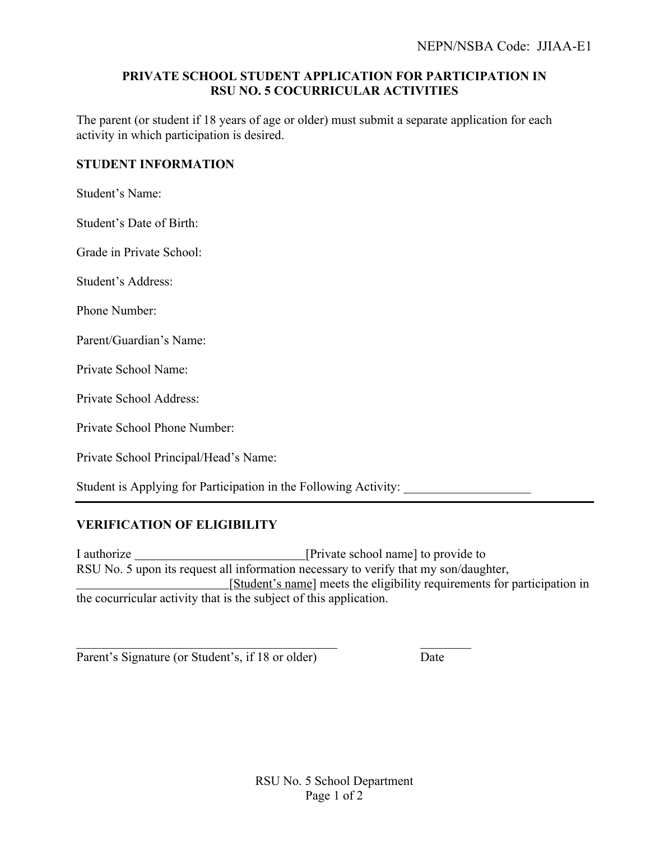## **PRIVATE SCHOOL STUDENT APPLICATION FOR PARTICIPATION IN RSU NO. 5 COCURRICULAR ACTIVITIES**

The parent (or student if 18 years of age or older) must submit a separate application for each activity in which participation is desired.

## **STUDENT INFORMATION**

Student's Name:

Student's Date of Birth:

Grade in Private School:

Student's Address:

Phone Number:

Parent/Guardian's Name:

Private School Name:

Private School Address:

Private School Phone Number:

Private School Principal/Head's Name:

Student is Applying for Participation in the Following Activity:

## **VERIFICATION OF ELIGIBILITY**

I authorize \_\_\_\_\_\_\_\_\_\_\_\_\_\_\_\_\_\_\_\_\_\_\_\_\_\_\_\_\_\_\_[Private school name] to provide to RSU No. 5 upon its request all information necessary to verify that my son/daughter, [Student's name] meets the eligibility requirements for participation in the cocurricular activity that is the subject of this application.

Parent's Signature (or Student's, if 18 or older) Date